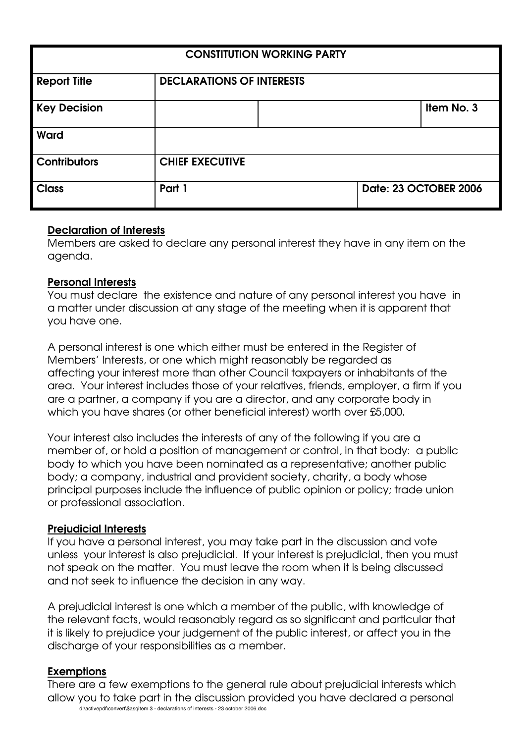| <b>CONSTITUTION WORKING PARTY</b> |                                  |  |  |                       |
|-----------------------------------|----------------------------------|--|--|-----------------------|
| <b>Report Title</b>               | <b>DECLARATIONS OF INTERESTS</b> |  |  |                       |
| <b>Key Decision</b>               |                                  |  |  | Item No. 3            |
| Ward                              |                                  |  |  |                       |
| <b>Contributors</b>               | <b>CHIEF EXECUTIVE</b>           |  |  |                       |
| <b>Class</b>                      | Part 1                           |  |  | Date: 23 OCTOBER 2006 |

## **Declaration of Interests**

Members are asked to declare any personal interest they have in any item on the agenda.

### **Personal Interests**

You must declare the existence and nature of any personal interest you have in a matter under discussion at any stage of the meeting when it is apparent that you have one.

A personal interest is one which either must be entered in the Register of Members' Interests, or one which might reasonably be regarded as affecting your interest more than other Council taxpayers or inhabitants of the area. Your interest includes those of your relatives, friends, employer, a firm if you are a partner, a company if you are a director, and any corporate body in which you have shares (or other beneficial interest) worth over £5,000.

Your interest also includes the interests of any of the following if you are a member of, or hold a position of management or control, in that body: a public body to which you have been nominated as a representative; another public body; a company, industrial and provident society, charity, a body whose principal purposes include the influence of public opinion or policy; trade union or professional association.

#### **Prejudicial Interests**

If you have a personal interest, you may take part in the discussion and vote unless your interest is also prejudicial. If your interest is prejudicial, then you must not speak on the matter. You must leave the room when it is being discussed and not seek to influence the decision in any way.

A prejudicial interest is one which a member of the public, with knowledge of the relevant facts, would reasonably regard as so significant and particular that it is likely to prejudice your judgement of the public interest, or affect you in the discharge of your responsibilities as a member.

#### **Exemptions**

d:\activepdf\convert\\$asqitem 3 - declarations of interests - 23 october 2006.doc There are a few exemptions to the general rule about prejudicial interests which allow you to take part in the discussion provided you have declared a personal